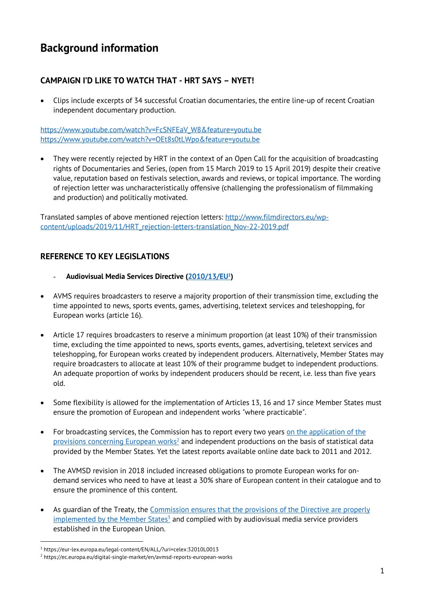# **Background information**

# **CAMPAIGN I'D LIKE TO WATCH THAT - HRT SAYS – NYET!**

• Clips include excerpts of 34 successful Croatian documentaries, the entire line-up of recent Croatian independent documentary production.

https://www.youtube.com/watch?v=FcSNFEaV\_W8&feature=youtu.be https://www.youtube.com/watch?v=OEt8s0tLWpo&feature=youtu.be

• They were recently rejected by HRT in the context of an Open Call for the acquisition of broadcasting rights of Documentaries and Series, (open from 15 March 2019 to 15 April 2019) despite their creative value, reputation based on festivals selection, awards and reviews, or topical importance. The wording of rejection letter was uncharacteristically offensive (challenging the professionalism of filmmaking and production) and politically motivated.

Translated samples of above mentioned rejection letters: http://www.filmdirectors.eu/wpcontent/uploads/2019/11/HRT\_rejection-letters-translation\_Nov-22-2019.pdf

## **REFERENCE TO KEY LEGISLATIONS**

- **Audiovisual Media Services Directive (2010/13/EU1)**
- AVMS requires broadcasters to reserve a majority proportion of their transmission time, excluding the time appointed to news, sports events, games, advertising, teletext services and teleshopping, for European works (article 16).
- Article 17 requires broadcasters to reserve a minimum proportion (at least 10%) of their transmission time, excluding the time appointed to news, sports events, games, advertising, teletext services and teleshopping, for European works created by independent producers. Alternatively, Member States may require broadcasters to allocate at least 10% of their programme budget to independent productions. An adequate proportion of works by independent producers should be recent, i.e. less than five years old.
- Some flexibility is allowed for the implementation of Articles 13, 16 and 17 since Member States must ensure the promotion of European and independent works "where practicable".
- For broadcasting services, the Commission has to report every two years on the application of the provisions concerning European works<sup>2</sup> and independent productions on the basis of statistical data provided by the Member States. Yet the latest reports available online date back to 2011 and 2012.
- The AVMSD revision in 2018 included increased obligations to promote European works for ondemand services who need to have at least a 30% share of European content in their catalogue and to ensure the prominence of this content.
- As guardian of the Treaty, the Commission ensures that the provisions of the Directive are properly  $implemented$  by the Member States<sup>3</sup> and complied with by audiovisual media service providers established in the European Union.

<sup>1</sup> https://eur-lex.europa.eu/legal-content/EN/ALL/?uri=celex:32010L0013

<sup>2</sup> https://ec.europa.eu/digital-single-market/en/avmsd-reports-european-works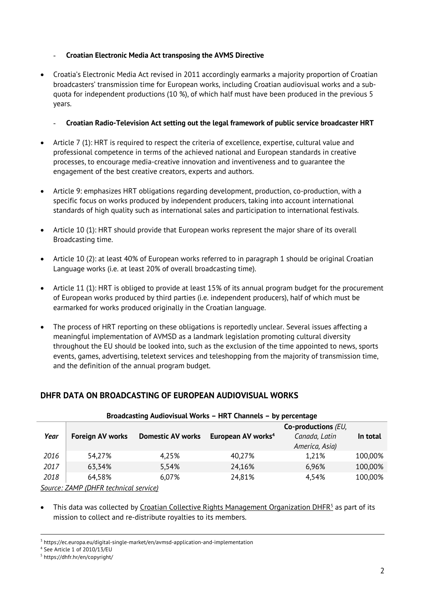#### - **Croatian Electronic Media Act transposing the AVMS Directive**

• Croatia's Electronic Media Act revised in 2011 accordingly earmarks a majority proportion of Croatian broadcasters' transmission time for European works, including Croatian audiovisual works and a subquota for independent productions (10 %), of which half must have been produced in the previous 5 years.

#### - **Croatian Radio-Television Act setting out the legal framework of public service broadcaster HRT**

- Article 7 (1): HRT is required to respect the criteria of excellence, expertise, cultural value and professional competence in terms of the achieved national and European standards in creative processes, to encourage media-creative innovation and inventiveness and to guarantee the engagement of the best creative creators, experts and authors.
- Article 9: emphasizes HRT obligations regarding development, production, co-production, with a specific focus on works produced by independent producers, taking into account international standards of high quality such as international sales and participation to international festivals.
- Article 10 (1): HRT should provide that European works represent the major share of its overall Broadcasting time.
- Article 10 (2): at least 40% of European works referred to in paragraph 1 should be original Croatian Language works (i.e. at least 20% of overall broadcasting time).
- Article 11 (1): HRT is obliged to provide at least 15% of its annual program budget for the procurement of European works produced by third parties (i.e. independent producers), half of which must be earmarked for works produced originally in the Croatian language.
- The process of HRT reporting on these obligations is reportedly unclear. Several issues affecting a meaningful implementation of AVMSD as a landmark legislation promoting cultural diversity throughout the EU should be looked into, such as the exclusion of the time appointed to news, sports events, games, advertising, teletext services and teleshopping from the majority of transmission time, and the definition of the annual program budget.

## **DHFR DATA ON BROADCASTING OF EUROPEAN AUDIOVISUAL WORKS**

| Broadcasting Audiovisual Works - HRT Channels - by percentage |                         |                          |                                |                                 |          |
|---------------------------------------------------------------|-------------------------|--------------------------|--------------------------------|---------------------------------|----------|
|                                                               |                         |                          |                                | Co-productions (EU,             |          |
| Year                                                          | <b>Foreign AV works</b> | <b>Domestic AV works</b> | European AV works <sup>4</sup> | Canada, Latin<br>America, Asia) | In total |
|                                                               |                         |                          |                                |                                 |          |
| 2016                                                          | 54,27%                  | 4,25%                    | 40,27%                         | 1,21%                           | 100,00%  |
| 2017                                                          | 63,34%                  | 5,54%                    | 24,16%                         | 6,96%                           | 100,00%  |
| 2018                                                          | 64,58%                  | 6,07%                    | 24,81%                         | 4,54%                           | 100,00%  |
| Source: ZAMP (DHFR technical service)                         |                         |                          |                                |                                 |          |

This data was collected by Croatian Collective Rights Management Organization DHFR<sup>5</sup> as part of its mission to collect and re-distribute royalties to its members.

<sup>3</sup> https://ec.europa.eu/digital-single-market/en/avmsd-application-and-implementation

<sup>4</sup> See Article 1 of 2010/13/EU

<sup>5</sup> https://dhfr.hr/en/copyright/